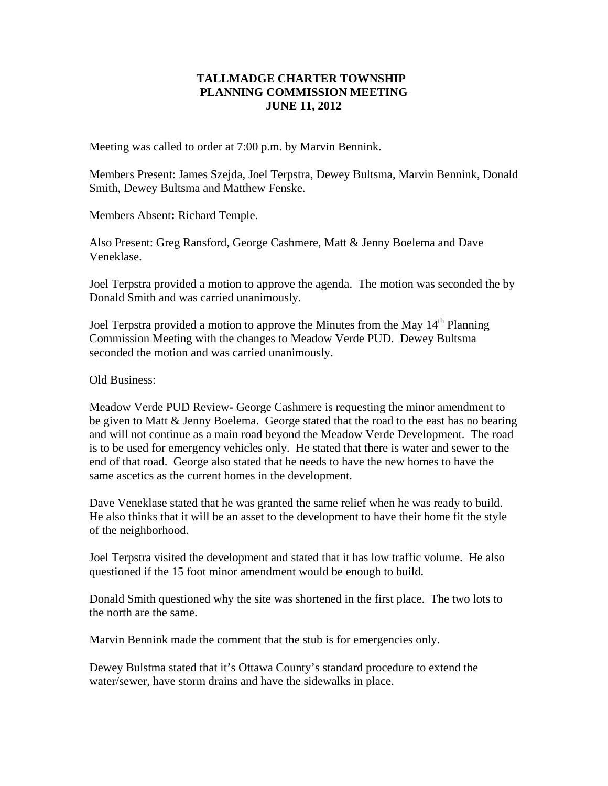## **TALLMADGE CHARTER TOWNSHIP PLANNING COMMISSION MEETING JUNE 11, 2012**

Meeting was called to order at 7:00 p.m. by Marvin Bennink.

Members Present: James Szejda, Joel Terpstra, Dewey Bultsma, Marvin Bennink, Donald Smith, Dewey Bultsma and Matthew Fenske.

Members Absent**:** Richard Temple.

Also Present: Greg Ransford, George Cashmere, Matt & Jenny Boelema and Dave Veneklase.

Joel Terpstra provided a motion to approve the agenda. The motion was seconded the by Donald Smith and was carried unanimously.

Joel Terpstra provided a motion to approve the Minutes from the May 14<sup>th</sup> Planning Commission Meeting with the changes to Meadow Verde PUD. Dewey Bultsma seconded the motion and was carried unanimously.

Old Business:

Meadow Verde PUD Review**-** George Cashmere is requesting the minor amendment to be given to Matt & Jenny Boelema. George stated that the road to the east has no bearing and will not continue as a main road beyond the Meadow Verde Development. The road is to be used for emergency vehicles only. He stated that there is water and sewer to the end of that road. George also stated that he needs to have the new homes to have the same ascetics as the current homes in the development.

Dave Veneklase stated that he was granted the same relief when he was ready to build. He also thinks that it will be an asset to the development to have their home fit the style of the neighborhood.

Joel Terpstra visited the development and stated that it has low traffic volume. He also questioned if the 15 foot minor amendment would be enough to build.

Donald Smith questioned why the site was shortened in the first place. The two lots to the north are the same.

Marvin Bennink made the comment that the stub is for emergencies only.

Dewey Bulstma stated that it's Ottawa County's standard procedure to extend the water/sewer, have storm drains and have the sidewalks in place.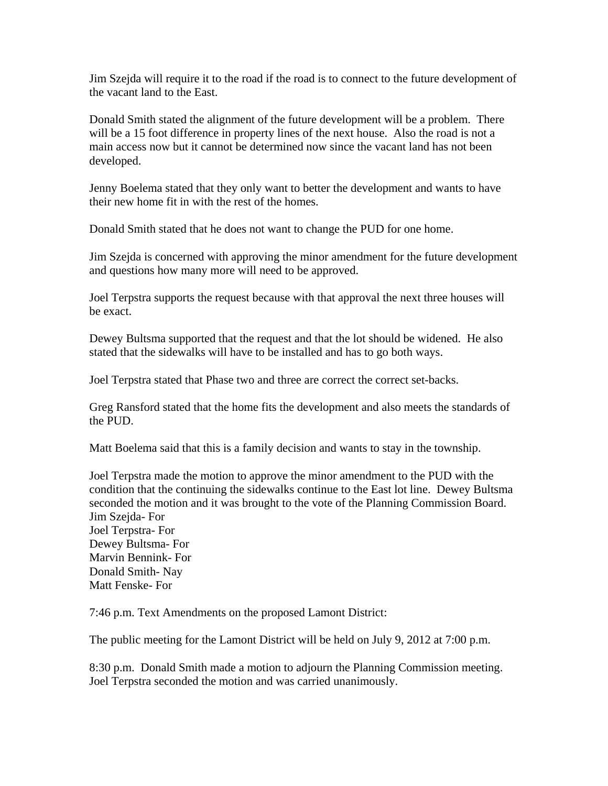Jim Szejda will require it to the road if the road is to connect to the future development of the vacant land to the East.

Donald Smith stated the alignment of the future development will be a problem. There will be a 15 foot difference in property lines of the next house. Also the road is not a main access now but it cannot be determined now since the vacant land has not been developed.

Jenny Boelema stated that they only want to better the development and wants to have their new home fit in with the rest of the homes.

Donald Smith stated that he does not want to change the PUD for one home.

Jim Szejda is concerned with approving the minor amendment for the future development and questions how many more will need to be approved.

Joel Terpstra supports the request because with that approval the next three houses will be exact.

Dewey Bultsma supported that the request and that the lot should be widened. He also stated that the sidewalks will have to be installed and has to go both ways.

Joel Terpstra stated that Phase two and three are correct the correct set-backs.

Greg Ransford stated that the home fits the development and also meets the standards of the PUD.

Matt Boelema said that this is a family decision and wants to stay in the township.

Joel Terpstra made the motion to approve the minor amendment to the PUD with the condition that the continuing the sidewalks continue to the East lot line. Dewey Bultsma seconded the motion and it was brought to the vote of the Planning Commission Board. Jim Szejda- For Joel Terpstra- For Dewey Bultsma- For Marvin Bennink- For Donald Smith- Nay

Matt Fenske- For

7:46 p.m. Text Amendments on the proposed Lamont District:

The public meeting for the Lamont District will be held on July 9, 2012 at 7:00 p.m.

8:30 p.m. Donald Smith made a motion to adjourn the Planning Commission meeting. Joel Terpstra seconded the motion and was carried unanimously.